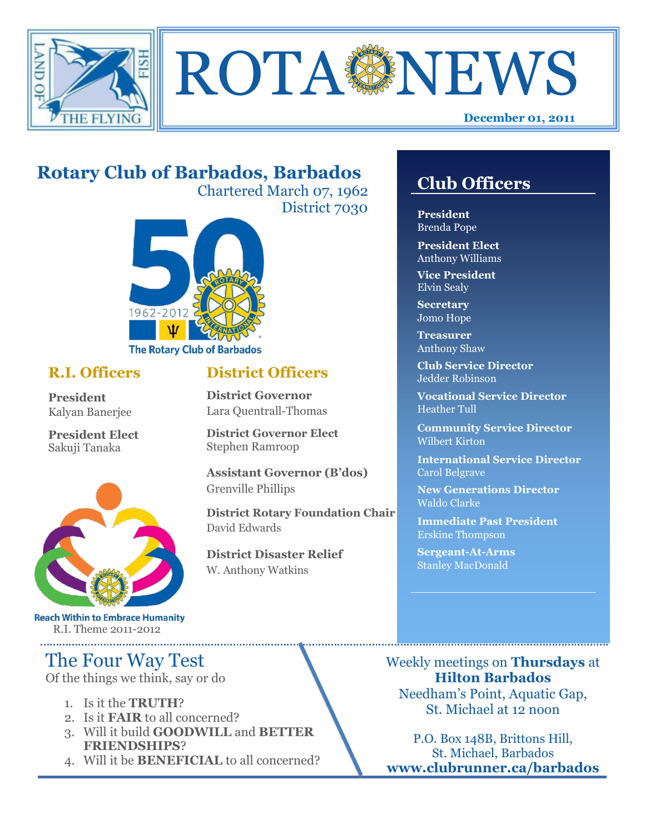



## **Rotary Club of Barbados, Barbados**

Chartered March 07, 1962 District 7030



#### **R.I. Officers**

**President**  Kalyan Banerjee

**President Elect** Sakuji Tanaka



**Reach Within to Embrace Humanity** R.I. Theme 2011-2012

## The Four Way Test

Of the things we think, say or do

- 1. Is it the **TRUTH**?
- 2. Is it **FAIR** to all concerned?
- 3. Will it build **GOODWILL** and **BETTER FRIENDSHIPS**?
- 4. Will it be **BENEFICIAL** to all concerned?

## **Club Officers**

**Club Officers** 

**President** Brenda Pope

**President Elect** Anthony Williams

**Vice President** Elvin Sealy

**Secretary** Jomo Hope

**Treasurer** Anthony Shaw

**Club Service Director** Jedder Robinson

**Vocational Service Director** Heather Tull

**Community Service Director** Wilbert Kirton

**International Service Director** Carol Belgrave

**New Generations Director** Waldo Clarke

**Immediate Past President** Erskine Thompson

**Sergeant-At-Arms** Stanley MacDonald

Weekly meetings on **Thursdays** at **Hilton Barbados** Needham's Point, Aquatic Gap, St. Michael at 12 noon

P.O. Box 148B, Brittons Hill, St. Michael, Barbados **www.clubrunner.ca/barbados**

# **District Officers**

**District Governor** Lara Quentrall-Thomas

**District Governor Elect** Stephen Ramroop

**Assistant Governor (B'dos)** Grenville Phillips

**District Rotary Foundation Chair** David Edwards

**District Disaster Relief** W. Anthony Watkins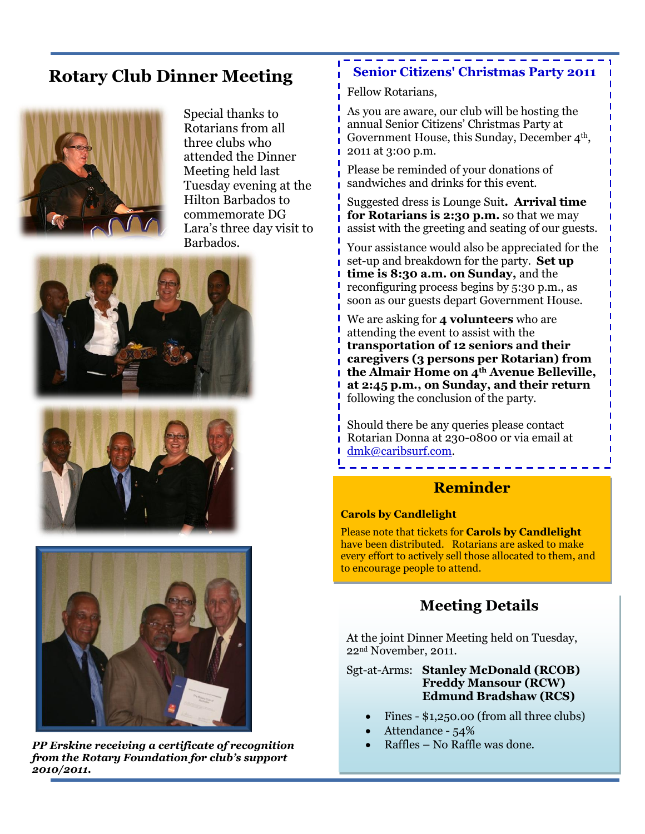## **Rotary Club Dinner Meeting**



Special thanks to Rotarians from all three clubs who attended the Dinner Meeting held last Tuesday evening at the Hilton Barbados to commemorate DG Lara's three day visit to Barbados.







*PP Erskine receiving a certificate of recognition from the Rotary Foundation for club's support 2010/2011.*

#### **Senior Citizens' Christmas Party 2011**

Fellow Rotarians,

As you are aware, our club will be hosting the annual Senior Citizens' Christmas Party at Government House, this Sunday, December  $4<sup>th</sup>$ , 2011 at 3:00 p.m.

Please be reminded of your donations of sandwiches and drinks for this event.

Suggested dress is Lounge Suit**. Arrival time for Rotarians is 2:30 p.m.** so that we may assist with the greeting and seating of our guests.

Your assistance would also be appreciated for the set-up and breakdown for the party. **Set up time is 8:30 a.m. on Sunday,** and the reconfiguring process begins by 5:30 p.m., as soon as our guests depart Government House.

We are asking for **4 volunteers** who are attending the event to assist with the **transportation of 12 seniors and their caregivers (3 persons per Rotarian) from the Almair Home on 4th Avenue Belleville, at 2:45 p.m., on Sunday, and their return**  following the conclusion of the party.

Should there be any queries please contact Rotarian Donna at 230-0800 or via email at dmk@caribsurf.com.

#### **Reminder**

#### **Carols by Candlelight**

Please note that tickets for **Carols by Candlelight** have been distributed. Rotarians are asked to make every effort to actively sell those allocated to them, and to encourage people to attend.

#### **Meeting Details**

At the joint Dinner Meeting held on Tuesday, 22nd November, 2011.

Sgt-at-Arms: **Stanley McDonald (RCOB) Freddy Mansour (RCW) Edmund Bradshaw (RCS)** 

- Fines \$1,250.00 (from all three clubs)
- Attendance 54%
- Raffles No Raffle was done.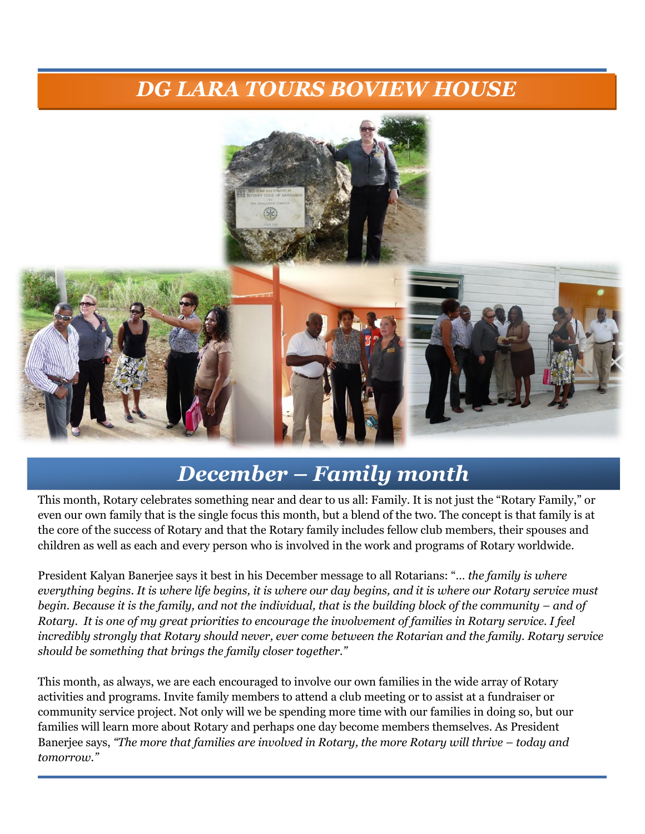## *DG LARA TOURS BOVIEW HOUSE*



## *December – Family month*

This month, Rotary celebrates something near and dear to us all: Family. It is not just the "Rotary Family," or even our own family that is the single focus this month, but a blend of the two. The concept is that family is at the core of the success of Rotary and that the Rotary family includes fellow club members, their spouses and children as well as each and every person who is involved in the work and programs of Rotary worldwide.

President Kalyan Banerjee says it best in his December message to all Rotarians: "… *the family is where everything begins. It is where life begins, it is where our day begins, and it is where our Rotary service must begin. Because it is the family, and not the individual, that is the building block of the community – and of Rotary. It is one of my great priorities to encourage the involvement of families in Rotary service. I feel incredibly strongly that Rotary should never, ever come between the Rotarian and the family. Rotary service should be something that brings the family closer together."*

This month, as always, we are each encouraged to involve our own families in the wide array of Rotary activities and programs. Invite family members to attend a club meeting or to assist at a fundraiser or community service project. Not only will we be spending more time with our families in doing so, but our families will learn more about Rotary and perhaps one day become members themselves. As President Banerjee says, *"The more that families are involved in Rotary, the more Rotary will thrive – today and tomorrow."*